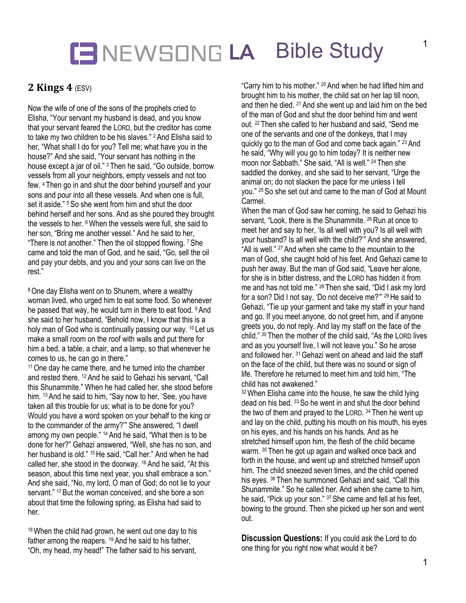## **LA** Bible Study

### **2 Kings 4 (ESV)**

Now the wife of one of the sons of the prophets cried to Elisha, "Your servant my husband is dead, and you know that your servant feared the LORD, but the creditor has come to take my two children to be his slaves." <sup>2</sup> And Elisha said to her, "What shall I do for you? Tell me; what have you in the house?" And she said, "Your servant has nothing in the house except a jar of oil." <sup>3</sup> Then he said, "Go outside, borrow vessels from all your neighbors, empty vessels and not too few. <sup>4</sup> Then go in and shut the door behind yourself and your sons and pour into all these vessels. And when one is full, set it aside." <sup>5</sup> So she went from him and shut the door behind herself and her sons. And as she poured they brought the vessels to her. <sup>6</sup> When the vessels were full, she said to her son, "Bring me another vessel." And he said to her, "There is not another." Then the oil stopped flowing. <sup>7</sup> She came and told the man of God, and he said, "Go, sell the oil and pay your debts, and you and your sons can live on the rest."

<sup>8</sup> One day Elisha went on to Shunem, where a wealthy woman lived, who urged him to eat some food. So whenever he passed that way, he would turn in there to eat food. <sup>9</sup> And she said to her husband, "Behold now, I know that this is a holy man of God who is continually passing our way. <sup>10</sup> Let us make a small room on the roof with walls and put there for him a bed, a table, a chair, and a lamp, so that whenever he comes to us, he can go in there."

11One day he came there, and he turned into the chamber and rested there. <sup>12</sup> And he said to Gehazi his servant, "Call this Shunammite." When he had called her, she stood before him. <sup>13</sup> And he said to him, "Say now to her, 'See, you have taken all this trouble for us; what is to be done for you? Would you have a word spoken on your behalf to the king or to the commander of the army?'" She answered, "I dwell among my own people." <sup>14</sup> And he said, "What then is to be done for her?" Gehazi answered, "Well, she has no son, and her husband is old." <sup>15</sup> He said, "Call her." And when he had called her, she stood in the doorway. <sup>16</sup> And he said, "At this season, about this time next year, you shall embrace a son." And she said, "No, my lord, O man of God; do not lie to your servant." <sup>17</sup> But the woman conceived, and she bore a son about that time the following spring, as Elisha had said to her.

<sup>18</sup> When the child had grown, he went out one day to his father among the reapers. <sup>19</sup> And he said to his father, "Oh, my head, my head!" The father said to his servant,

"Carry him to his mother." <sup>20</sup> And when he had lifted him and brought him to his mother, the child sat on her lap till noon, and then he died. <sup>21</sup> And she went up and laid him on the bed of the man of God and shut the door behind him and went out. <sup>22</sup> Then she called to her husband and said, "Send me one of the servants and one of the donkeys, that I may quickly go to the man of God and come back again." <sup>23</sup> And he said, "Why will you go to him today? It is neither new moon nor Sabbath." She said, "All is well." <sup>24</sup> Then she saddled the donkey, and she said to her servant, "Urge the animal on; do not slacken the pace for me unless I tell you." <sup>25</sup> So she set out and came to the man of God at Mount **Carmel** 

When the man of God saw her coming, he said to Gehazi his servant, "Look, there is the Shunammite. <sup>26</sup> Run at once to meet her and say to her, 'Is all well with you? Is all well with your husband? Is all well with the child?'" And she answered, "All is well." <sup>27</sup> And when she came to the mountain to the man of God, she caught hold of his feet. And Gehazi came to push her away. But the man of God said, "Leave her alone, for she is in bitter distress, and the LORD has hidden it from me and has not told me." <sup>28</sup> Then she said, "Did I ask my lord for a son? Did I not say, 'Do not deceive me?'" <sup>29</sup> He said to Gehazi, "Tie up your garment and take my staff in your hand and go. If you meet anyone, do not greet him, and if anyone greets you, do not reply. And lay my staff on the face of the child." <sup>30</sup> Then the mother of the child said, "As the LORD lives and as you yourself live, I will not leave you." So he arose and followed her. <sup>31</sup> Gehazi went on ahead and laid the staff on the face of the child, but there was no sound or sign of life. Therefore he returned to meet him and told him, "The child has not awakened."

<sup>32</sup> When Elisha came into the house, he saw the child lying dead on his bed. <sup>33</sup> So he went in and shut the door behind the two of them and prayed to the LORD. <sup>34</sup> Then he went up and lay on the child, putting his mouth on his mouth, his eyes on his eyes, and his hands on his hands. And as he stretched himself upon him, the flesh of the child became warm. <sup>35</sup> Then he got up again and walked once back and forth in the house, and went up and stretched himself upon him. The child sneezed seven times, and the child opened his eyes. <sup>36</sup> Then he summoned Gehazi and said, "Call this Shunammite." So he called her. And when she came to him, he said, "Pick up your son." <sup>37</sup> She came and fell at his feet, bowing to the ground. Then she picked up her son and went out.

**Discussion Questions:** If you could ask the Lord to do one thing for you right now what would it be?